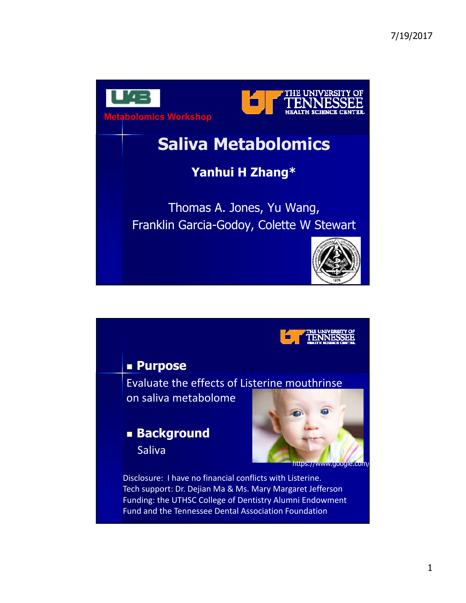

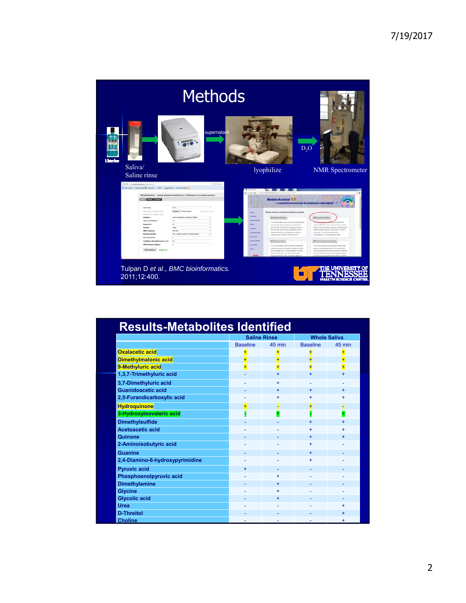|                                                                                                                                                                                                                                                                                                                                                                                                                                                  | <b>Methods</b>                                                                                                                                                                                                                                                            |                                                                                                                                                                                                                                                                                                                                                                                                                                                                                                                                                                                                                                                                                                                                                                                                                                                                                                               |                                                                                                                                                                                                                                                                                                                                                                                                                                                                                         |
|--------------------------------------------------------------------------------------------------------------------------------------------------------------------------------------------------------------------------------------------------------------------------------------------------------------------------------------------------------------------------------------------------------------------------------------------------|---------------------------------------------------------------------------------------------------------------------------------------------------------------------------------------------------------------------------------------------------------------------------|---------------------------------------------------------------------------------------------------------------------------------------------------------------------------------------------------------------------------------------------------------------------------------------------------------------------------------------------------------------------------------------------------------------------------------------------------------------------------------------------------------------------------------------------------------------------------------------------------------------------------------------------------------------------------------------------------------------------------------------------------------------------------------------------------------------------------------------------------------------------------------------------------------------|-----------------------------------------------------------------------------------------------------------------------------------------------------------------------------------------------------------------------------------------------------------------------------------------------------------------------------------------------------------------------------------------------------------------------------------------------------------------------------------------|
| Listorius<br>Saliva/                                                                                                                                                                                                                                                                                                                                                                                                                             | supernatant                                                                                                                                                                                                                                                               |                                                                                                                                                                                                                                                                                                                                                                                                                                                                                                                                                                                                                                                                                                                                                                                                                                                                                                               | $D_2O$                                                                                                                                                                                                                                                                                                                                                                                                                                                                                  |
| Saline rinse                                                                                                                                                                                                                                                                                                                                                                                                                                     |                                                                                                                                                                                                                                                                           | lyophilize                                                                                                                                                                                                                                                                                                                                                                                                                                                                                                                                                                                                                                                                                                                                                                                                                                                                                                    | <b>NMR</b> Spectrometer                                                                                                                                                                                                                                                                                                                                                                                                                                                                 |
| and relationship and the state<br>B Martialer   Amig Send & Constitute   MR   Suprint Div   Vol Strelakes &<br><b>About I contact</b><br><b>Insent Sales</b><br>Wasal Die Lik company, now b<br>Posts fot (2 columns best)<br>Selabara<br>Topic of excluded?<br><b>Sample and</b><br>Solomni<br><b>NHS Frequent</b><br><b>Mulchloss method</b><br><b>Bolive throughout</b><br>Confidence throughold (ways 1 %)<br><b>Shift tolerance Council</b> | $r = 0.14$<br>Mctabollunter - idently industrial metabolises in 'm 980 spectra of complex minitares<br>drawin In its selected.<br><b>Lectures Star Likel</b><br>Norge Weighelpeg Selateur 14400<br><b>STAR</b><br>and sens<br>(No) righest number of matched paster<br>i. | www.matsboaratizet.ca.fa<br>MetaboAnalyst 3.0<br>- a comprehensive tool suite for a<br>Please choose a functional module to proceed<br><b>Builder</b><br>Detroit<br><b>C</b> Electronical Autubushi<br><b>Data Formals</b><br>The module offers serious constrainty case explainties<br><b>SG</b><br>and machine learning methods including Interior<br>ANDIA, PCA, RUSSA and Orthogonal PLS-Dk, III<br><b>Salesto</b><br>also provides mystering and visualization body to<br>on all as for the individual time overally shown shares.<br>Trainestastry<br>classify based on involve forests and (LVA).<br><b><i><u>Senantan</u></i></b><br><b>Sandwick Freedom</b><br><b>O Fullway Andrew</b><br><b>Chair Street</b><br>This module express pathway analysis (magneting<br>existenci andose and pativas basing engines<br><b><i><u>Istant</u></i></b><br>and resultation for 21 model organizers, including | <b>O</b> Existened And<br>analysis inciding for human and maneralism species<br>based or several dorates periating 1432 groups of<br>members with Union car unique wither 11 a bal of<br>compounds. It is helper promise with<br>presentations or 3) a consentation talm<br><b>Q</b> Two sense facilitate Driver<br>This implicite inspacers semporal and two banks tures<br>analysis including their convolute forces as AFCPA.<br>and arraying Steve breakerse analysis for determine |

| <b>Results-Metabolites Identified</b> |                     |           |                     |           |  |  |
|---------------------------------------|---------------------|-----------|---------------------|-----------|--|--|
|                                       | <b>Saline Rinse</b> |           | <b>Whole Saliva</b> |           |  |  |
|                                       | <b>Baseline</b>     | 45 min    | <b>Baseline</b>     | 45 min    |  |  |
| <b>Oxalacetic acid</b>                |                     | Ŧ         | Ŧ                   |           |  |  |
| <b>Dimethylmalonic acid</b>           |                     |           | Ŧ                   | Ŧ         |  |  |
| 9-Methyluric acid                     |                     |           | $\overline{+}$      | Ŧ         |  |  |
| 1,3,7-Trimethyluric acid              |                     | $\ddot{}$ | ÷.                  | ÷.        |  |  |
| 3,7-Dimethyluric acid                 |                     | ÷         |                     |           |  |  |
| Guanidoacetic acid                    |                     | $\ddot{}$ | $+$                 | $\ddot{}$ |  |  |
| 2,5-Furandicarboxylic acid            |                     | ÷         | ÷                   |           |  |  |
| <b>Hydroquinone</b>                   |                     |           | Ŧ                   |           |  |  |
| 3-Hydroxyisovaleric acid              |                     |           |                     |           |  |  |
| <b>Dimethylsulfide</b>                |                     |           | $\ddot{}$           |           |  |  |
| Acetoacetic acid                      |                     |           | ÷.                  | ÷.        |  |  |
| <b>Quinone</b>                        |                     |           | $+$                 | $\ddot{}$ |  |  |
| 2-Aminoisobutyric acid                |                     |           | ÷                   |           |  |  |
| <b>Guanine</b>                        |                     |           | $\ddot{}$           |           |  |  |
| 2,4-Diamino-6-hydroxypyrimidine       |                     |           | ÷                   |           |  |  |
| <b>Pyruvic acid</b>                   | ÷                   |           |                     |           |  |  |
| Phosphoenolpyruvic acid               |                     | ÷         |                     |           |  |  |
| <b>Dimethylamine</b>                  |                     | $+$       |                     |           |  |  |
| <b>Glycine</b>                        |                     |           |                     |           |  |  |
| <b>Glycolic acid</b>                  |                     | $\ddot{}$ |                     |           |  |  |
| Urea                                  |                     |           |                     |           |  |  |
| <b>D-Threitol</b>                     |                     |           |                     | $\ddot{}$ |  |  |
| <b>Choline</b>                        |                     |           |                     |           |  |  |